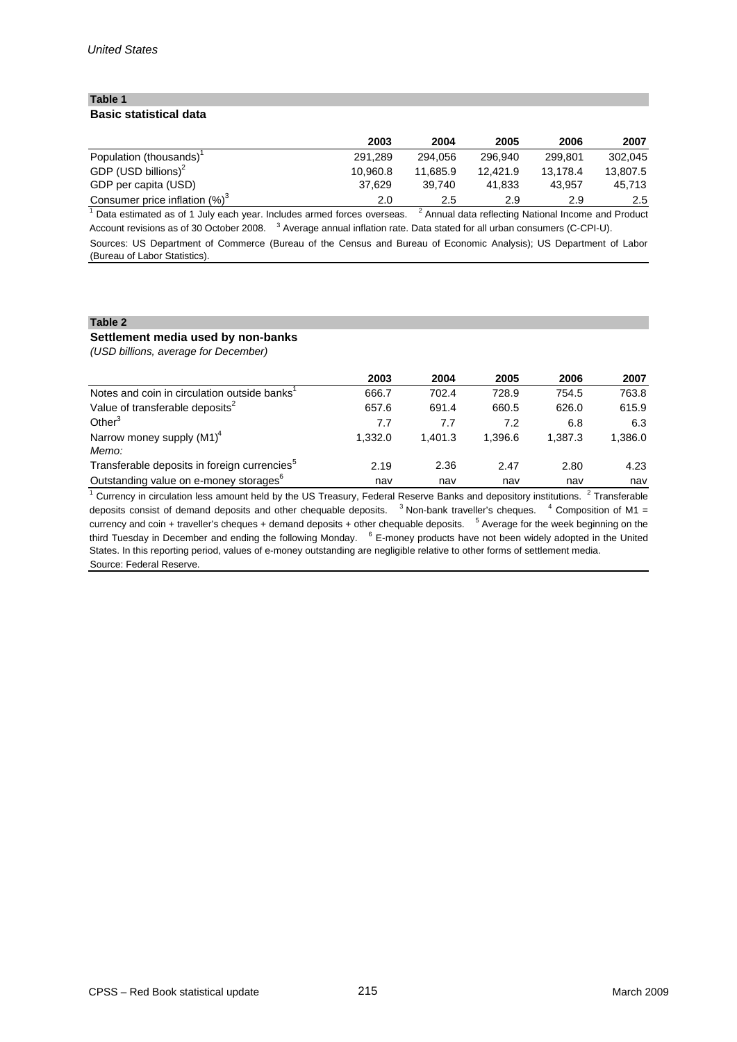# **Table 1 Basic statistical data**

|                                   | 2003     | 2004     | 2005     | 2006     | 2007          |
|-----------------------------------|----------|----------|----------|----------|---------------|
| Population (thousands)            | 291.289  | 294.056  | 296.940  | 299.801  | 302.045       |
| GDP (USD billions) <sup>2</sup>   | 10.960.8 | 11.685.9 | 12.421.9 | 13.178.4 | 13.807.5      |
| GDP per capita (USD)              | 37.629   | 39.740   | 41.833   | 43.957   | 45,713        |
| Consumer price inflation $(\%)^3$ | 2.0      | 2.5      | 2.9      | 2.9      | $2.5^{\circ}$ |

Sources: US Department of Commerce (Bureau of the Census and Bureau of Economic Analysis); US Department of Labor (Bureau of Labor Statistics).  $1$  Data estimated as of 1 July each year. Includes armed forces overseas.  $2$  Annual data reflecting National Income and Product Account revisions as of 30 October 2008. <sup>3</sup> Average annual inflation rate. Data stated for all urban consumers (C-CPI-U).

#### **Table 2**

# **Settlement media used by non-banks**

*(USD billions, average for December)*

|                                                          | 2003    | 2004    | 2005    | 2006    | 2007    |
|----------------------------------------------------------|---------|---------|---------|---------|---------|
| Notes and coin in circulation outside banks <sup>1</sup> | 666.7   | 702.4   | 728.9   | 754.5   | 763.8   |
| Value of transferable deposits <sup>2</sup>              | 657.6   | 691.4   | 660.5   | 626.0   | 615.9   |
| Other <sup>3</sup>                                       | 7.7     | 7.7     | 7.2     | 6.8     | 6.3     |
| Narrow money supply $(M1)^4$<br>Memo:                    | 1.332.0 | 1.401.3 | 1.396.6 | 1.387.3 | 1,386.0 |
| Transferable deposits in foreign currencies <sup>5</sup> | 2.19    | 2.36    | 2.47    | 2.80    | 4.23    |
| Outstanding value on e-money storages <sup>6</sup>       | nav     | nav     | nav     | nav     | nav     |

 $1$  Currency in circulation less amount held by the US Treasury, Federal Reserve Banks and depository institutions.  $2$  Transferable deposits consist of demand deposits and other chequable deposits.  $3$  Non-bank traveller's cheques.  $4$  Composition of M1 = currency and coin + traveller's cheques + demand deposits + other chequable deposits. <sup>5</sup> Average for the week beginning on the third Tuesday in December and ending the following Monday. <sup>6</sup> E-money products have not been widely adopted in the United States. In this reporting period, values of e-money outstanding are negligible relative to other forms of settlement media. Source: Federal Reserve.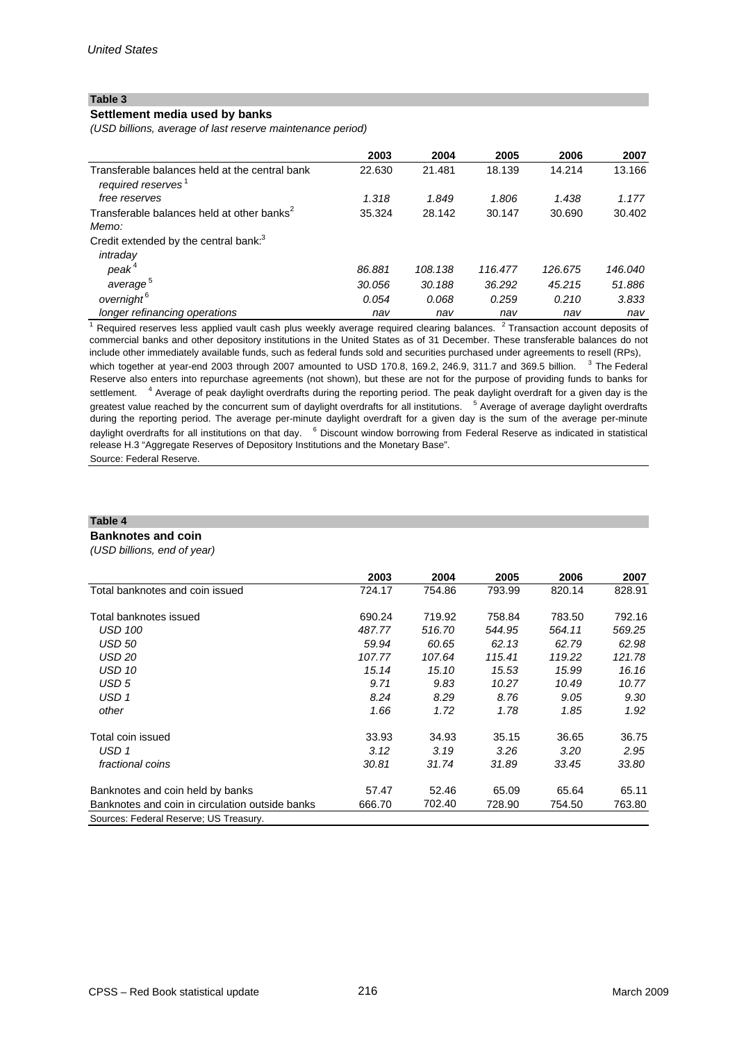# **Settlement media used by banks**

*(USD billions, average of last reserve maintenance period)*

|                                                                                  | 2003   | 2004    | 2005    | 2006    | 2007    |
|----------------------------------------------------------------------------------|--------|---------|---------|---------|---------|
| Transferable balances held at the central bank<br>required reserves <sup>1</sup> | 22.630 | 21.481  | 18.139  | 14.214  | 13.166  |
| free reserves                                                                    | 1.318  | 1.849   | 1.806   | 1.438   | 1.177   |
| Transferable balances held at other banks <sup>2</sup><br>Memo:                  | 35.324 | 28.142  | 30.147  | 30.690  | 30.402  |
| Credit extended by the central bank: <sup>3</sup>                                |        |         |         |         |         |
| intraday                                                                         |        |         |         |         |         |
| peak <sup>4</sup>                                                                | 86.881 | 108.138 | 116.477 | 126.675 | 146.040 |
| average <sup>5</sup>                                                             | 30.056 | 30.188  | 36.292  | 45.215  | 51.886  |
| overnight <sup>6</sup>                                                           | 0.054  | 0.068   | 0.259   | 0.210   | 3.833   |
| longer refinancing operations                                                    | nav    | nav     | nav     | nav     | nav     |

 $1$  Required reserves less applied vault cash plus weekly average required clearing balances.  $2$  Transaction account deposits of commercial banks and other depository institutions in the United States as of 31 December. These transferable balances do not include other immediately available funds, such as federal funds sold and securities purchased under agreements to resell (RPs), which together at year-end 2003 through 2007 amounted to USD 170.8, 169.2, 246.9, 311.7 and 369.5 billion.  $3$  The Federal Reserve also enters into repurchase agreements (not shown), but these are not for the purpose of providing funds to banks for

settlement. <sup>4</sup> Average of peak daylight overdrafts during the reporting period. The peak daylight overdraft for a given day is the greatest value reached by the concurrent sum of daylight overdrafts for all institutions. <sup>5</sup> Average of average daylight overdrafts during the reporting period. The average per-minute daylight overdraft for a given day is the sum of the average per-minute daylight overdrafts for all institutions on that day. <sup>6</sup> Discount window borrowing from Federal Reserve as indicated in statistical release H.3 "Aggregate Reserves of Depository Institutions and the Monetary Base".

Source: Federal Reserve.

## **Table 4**

#### **Banknotes and coin**

*(USD billions, end of year)*

|                                                 | 2003   | 2004   | 2005   | 2006   | 2007   |
|-------------------------------------------------|--------|--------|--------|--------|--------|
| Total banknotes and coin issued                 | 724.17 | 754.86 | 793.99 | 820.14 | 828.91 |
| Total banknotes issued                          | 690.24 | 719.92 | 758.84 | 783.50 | 792.16 |
| <b>USD 100</b>                                  | 487.77 | 516.70 | 544.95 | 564.11 | 569.25 |
| <b>USD 50</b>                                   | 59.94  | 60.65  | 62.13  | 62.79  | 62.98  |
| USD 20                                          | 107.77 | 107.64 | 115.41 | 119.22 | 121.78 |
| <b>USD 10</b>                                   | 15.14  | 15.10  | 15.53  | 15.99  | 16.16  |
| USD 5                                           | 9.71   | 9.83   | 10.27  | 10.49  | 10.77  |
| USD 1                                           | 8.24   | 8.29   | 8.76   | 9.05   | 9.30   |
| other                                           | 1.66   | 1.72   | 1.78   | 1.85   | 1.92   |
| Total coin issued                               | 33.93  | 34.93  | 35.15  | 36.65  | 36.75  |
| USD 1                                           | 3.12   | 3.19   | 3.26   | 3.20   | 2.95   |
| <i>fractional coins</i>                         | 30.81  | 31.74  | 31.89  | 33.45  | 33.80  |
| Banknotes and coin held by banks                | 57.47  | 52.46  | 65.09  | 65.64  | 65.11  |
| Banknotes and coin in circulation outside banks | 666.70 | 702.40 | 728.90 | 754.50 | 763.80 |
| Sources: Federal Reserve; US Treasury.          |        |        |        |        |        |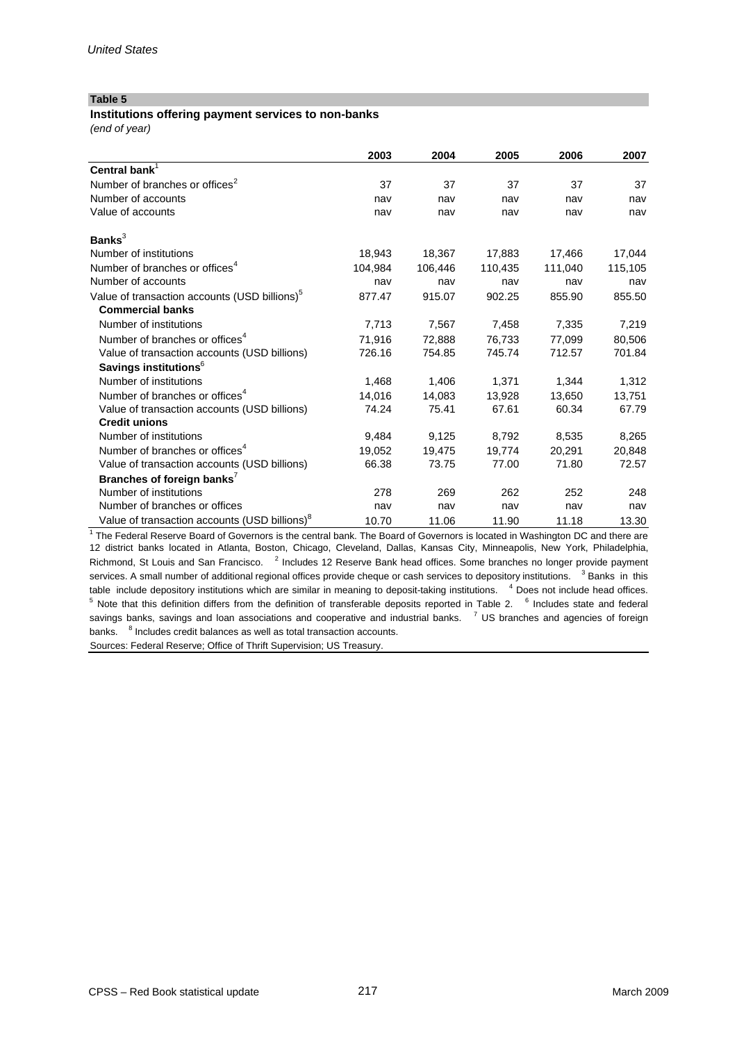### **Institutions offering payment services to non-banks**

*(end of year)*

|                                                           | 2003    | 2004    | 2005    | 2006    | 2007    |
|-----------------------------------------------------------|---------|---------|---------|---------|---------|
| Central bank <sup>1</sup>                                 |         |         |         |         |         |
| Number of branches or offices <sup>2</sup>                | 37      | 37      | 37      | 37      | 37      |
| Number of accounts                                        | nav     | nav     | nav     | nav     | nav     |
| Value of accounts                                         | nav     | nav     | nav     | nav     | nav     |
| Banks $3$                                                 |         |         |         |         |         |
| Number of institutions                                    | 18,943  | 18,367  | 17,883  | 17,466  | 17,044  |
| Number of branches or offices <sup>4</sup>                | 104.984 | 106,446 | 110,435 | 111,040 | 115,105 |
| Number of accounts                                        | nav     | nav     | nav     | nav     | nav     |
| Value of transaction accounts (USD billions) <sup>5</sup> | 877.47  | 915.07  | 902.25  | 855.90  | 855.50  |
| <b>Commercial banks</b>                                   |         |         |         |         |         |
| Number of institutions                                    | 7,713   | 7,567   | 7,458   | 7,335   | 7,219   |
| Number of branches or offices <sup>4</sup>                | 71.916  | 72,888  | 76,733  | 77.099  | 80.506  |
| Value of transaction accounts (USD billions)              | 726.16  | 754.85  | 745.74  | 712.57  | 701.84  |
| Savings institutions <sup>6</sup>                         |         |         |         |         |         |
| Number of institutions                                    | 1,468   | 1,406   | 1,371   | 1,344   | 1,312   |
| Number of branches or offices <sup>4</sup>                | 14,016  | 14,083  | 13,928  | 13,650  | 13,751  |
| Value of transaction accounts (USD billions)              | 74.24   | 75.41   | 67.61   | 60.34   | 67.79   |
| <b>Credit unions</b>                                      |         |         |         |         |         |
| Number of institutions                                    | 9.484   | 9,125   | 8,792   | 8,535   | 8,265   |
| Number of branches or offices <sup>4</sup>                | 19.052  | 19,475  | 19,774  | 20,291  | 20,848  |
| Value of transaction accounts (USD billions)              | 66.38   | 73.75   | 77.00   | 71.80   | 72.57   |
| Branches of foreign banks <sup>7</sup>                    |         |         |         |         |         |
| Number of institutions                                    | 278     | 269     | 262     | 252     | 248     |
| Number of branches or offices                             | nav     | nav     | nav     | nav     | nav     |
| Value of transaction accounts (USD billions) <sup>8</sup> | 10.70   | 11.06   | 11.90   | 11.18   | 13.30   |

<sup>1</sup> The Federal Reserve Board of Governors is the central bank. The Board of Governors is located in Washington DC and there are 12 district banks located in Atlanta, Boston, Chicago, Cleveland, Dallas, Kansas City, Minneapolis, New York, Philadelphia, Richmond, St Louis and San Francisco. <sup>2</sup> Includes 12 Reserve Bank head offices. Some branches no longer provide payment services. A small number of additional regional offices provide cheque or cash services to depository institutions. <sup>3</sup> Banks in this table include depository institutions which are similar in meaning to deposit-taking institutions. <sup>4</sup> Does not include head offices. <sup>5</sup> Note that this definition differs from the definition of transferable deposits reported in Table 2. <sup>6</sup> Includes state and federal savings banks, savings and loan associations and cooperative and industrial banks. <sup>7</sup> US branches and agencies of foreign banks. <sup>8</sup> Includes credit balances as well as total transaction accounts.

Sources: Federal Reserve; Office of Thrift Supervision; US Treasury.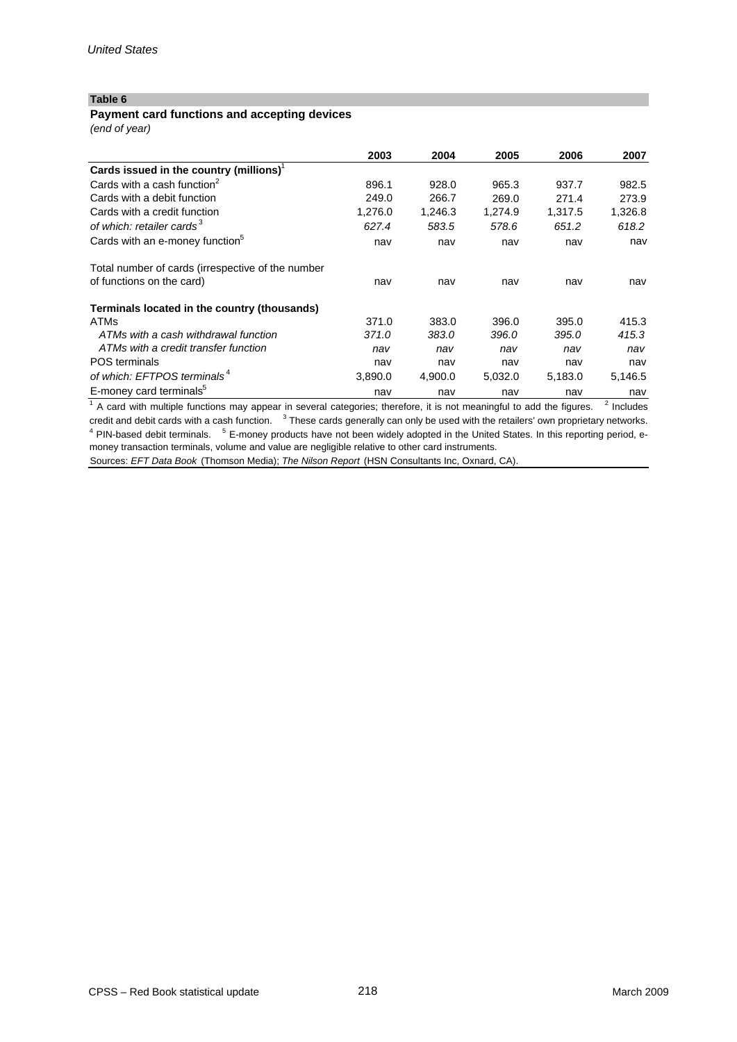### **Payment card functions and accepting devices**

*(end of year)*

|                                                   | 2003    | 2004    | 2005    | 2006    | 2007    |
|---------------------------------------------------|---------|---------|---------|---------|---------|
| Cards issued in the country (millions) $1$        |         |         |         |         |         |
| Cards with a cash function <sup>2</sup>           | 896.1   | 928.0   | 965.3   | 937.7   | 982.5   |
| Cards with a debit function                       | 249.0   | 266.7   | 269.0   | 271.4   | 273.9   |
| Cards with a credit function                      | 1,276.0 | 1,246.3 | 1,274.9 | 1,317.5 | 1,326.8 |
| of which: retailer cards <sup>3</sup>             | 627.4   | 583.5   | 578.6   | 651.2   | 618.2   |
| Cards with an e-money function <sup>5</sup>       | nav     | nav     | nav     | nav     | nav     |
| Total number of cards (irrespective of the number |         |         |         |         |         |
| of functions on the card)                         | nav     | nav     | nav     | nav     | nav     |
| Terminals located in the country (thousands)      |         |         |         |         |         |
| <b>ATMs</b>                                       | 371.0   | 383.0   | 396.0   | 395.0   | 415.3   |
| ATMs with a cash withdrawal function              | 371.0   | 383.0   | 396.0   | 395.0   | 415.3   |
| ATMs with a credit transfer function              | nav     | nav     | nav     | nav     | nav     |
| <b>POS</b> terminals                              | nav     | nav     | nav     | nav     | nav     |
| of which: EFTPOS terminals <sup>4</sup>           | 3,890.0 | 4,900.0 | 5,032.0 | 5,183.0 | 5,146.5 |
| E-money card terminals <sup>5</sup>               | nav     | nav     | nav     | nav     | nav     |

 $1/4$  card with multiple functions may appear in several categories; therefore, it is not meaningful to add the figures.  $2/1$  Includes credit and debit cards with a cash function.  $3$  These cards generally can only be used with the retailers' own proprietary networks. <sup>4</sup> PIN-based debit terminals. <sup>5</sup> E-money products have not been widely adopted in the United States. In this reporting period, emoney transaction terminals, volume and value are negligible relative to other card instruments.

Sources: *EFT Data Book* (Thomson Media); *The Nilson Report* (HSN Consultants Inc, Oxnard, CA).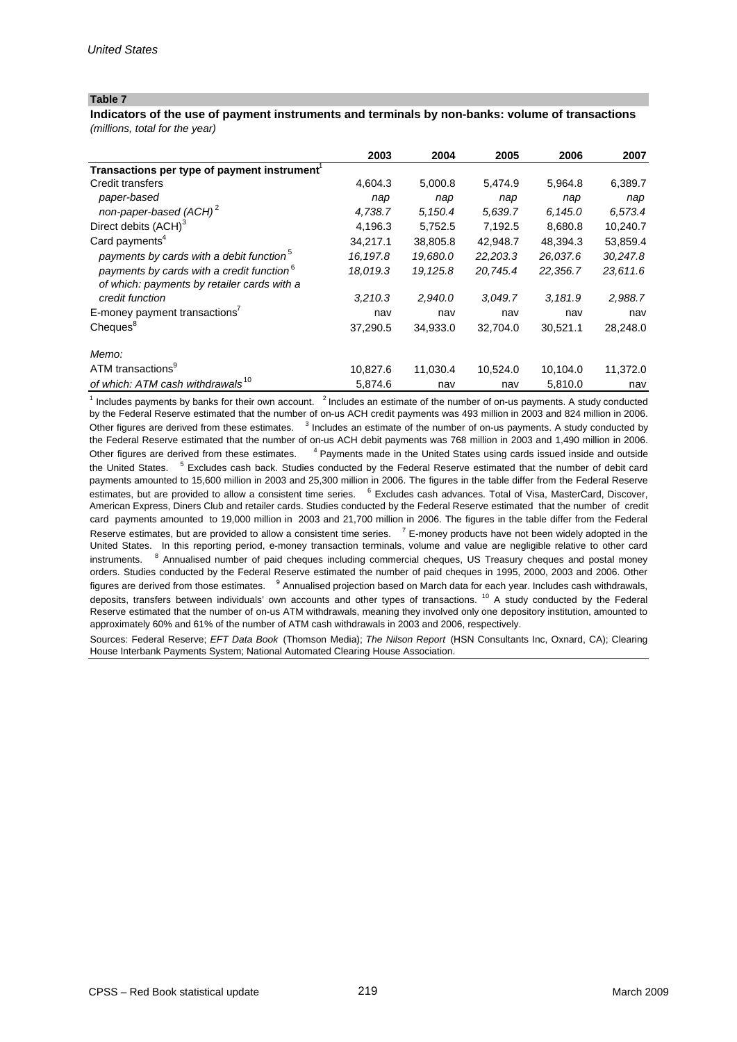*(millions, total for the year)* **Indicators of the use of payment instruments and terminals by non-banks: volume of transactions**

|                                                                                                      | 2003     | 2004     | 2005     | 2006     | 2007     |
|------------------------------------------------------------------------------------------------------|----------|----------|----------|----------|----------|
| Transactions per type of payment instrument <sup>1</sup>                                             |          |          |          |          |          |
| Credit transfers                                                                                     | 4,604.3  | 5,000.8  | 5,474.9  | 5,964.8  | 6,389.7  |
| paper-based                                                                                          | nap      | nap      | nap      | nap      | nap      |
| non-paper-based (ACH) <sup>2</sup>                                                                   | 4,738.7  | 5,150.4  | 5,639.7  | 6,145.0  | 6,573.4  |
| Direct debits (ACH) <sup>3</sup>                                                                     | 4,196.3  | 5,752.5  | 7,192.5  | 8,680.8  | 10,240.7 |
| Card payments <sup>4</sup>                                                                           | 34,217.1 | 38,805.8 | 42,948.7 | 48,394.3 | 53,859.4 |
| payments by cards with a debit function <sup>5</sup>                                                 | 16,197.8 | 19,680.0 | 22,203.3 | 26,037.6 | 30,247.8 |
| payments by cards with a credit function <sup>6</sup><br>of which: payments by retailer cards with a | 18,019.3 | 19,125.8 | 20,745.4 | 22,356.7 | 23,611.6 |
| credit function                                                                                      | 3,210.3  | 2,940.0  | 3.049.7  | 3,181.9  | 2,988.7  |
| E-money payment transactions <sup>7</sup>                                                            | nav      | nav      | nav      | nav      | nav      |
| Cheques <sup>8</sup>                                                                                 | 37.290.5 | 34,933.0 | 32,704.0 | 30,521.1 | 28,248.0 |
| Memo:                                                                                                |          |          |          |          |          |
| ATM transactions <sup>9</sup>                                                                        | 10,827.6 | 11,030.4 | 10,524.0 | 10,104.0 | 11,372.0 |
| of which: ATM cash withdrawals <sup>10</sup>                                                         | 5,874.6  | nav      | nav      | 5,810.0  | nav      |

 $1$  Includes payments by banks for their own account.  $2$  Includes an estimate of the number of on-us payments. A study conducted by the Federal Reserve estimated that the number of on-us ACH credit payments was 493 million in 2003 and 824 million in 2006. Other figures are derived from these estimates. <sup>3</sup> Includes an estimate of the number of on-us payments. A study conducted by the Federal Reserve estimated that the number of on-us ACH debit payments was 768 million in 2003 and 1,490 million in 2006. Other figures are derived from these estimates. <sup>4</sup> Payments made in the United States using cards issued inside and outside the United States. <sup>5</sup> Excludes cash back. Studies conducted by the Federal Reserve estimated that the number of debit card payments amounted to 15,600 million in 2003 and 25,300 million in 2006. The figures in the table differ from the Federal Reserve estimates, but are provided to allow a consistent time series. <sup>6</sup> Excludes cash advances. Total of Visa, MasterCard, Discover, American Express, Diners Club and retailer cards. Studies conducted by the Federal Reserve estimated that the number of credit card payments amounted to 19,000 million in 2003 and 21,700 million in 2006. The figures in the table differ from the Federal Reserve estimates, but are provided to allow a consistent time series. <sup>7</sup> E-money products have not been widely adopted in the United States. In this reporting period, e-money transaction terminals, volume and value are negligible relative to other card instruments. <sup>8</sup> Annualised number of paid cheques including commercial cheques, US Treasury cheques and postal money orders. Studies conducted by the Federal Reserve estimated the number of paid cheques in 1995, 2000, 2003 and 2006. Other figures are derived from those estimates. <sup>9</sup> Annualised projection based on March data for each year. Includes cash withdrawals, deposits, transfers between individuals' own accounts and other types of transactions.<sup>10</sup> A study conducted by the Federal Reserve estimated that the number of on-us ATM withdrawals, meaning they involved only one depository institution, amounted to approximately 60% and 61% of the number of ATM cash withdrawals in 2003 and 2006, respectively.

Sources: Federal Reserve; *EFT Data Book* (Thomson Media); *The Nilson Report* (HSN Consultants Inc, Oxnard, CA); Clearing House Interbank Payments System; National Automated Clearing House Association.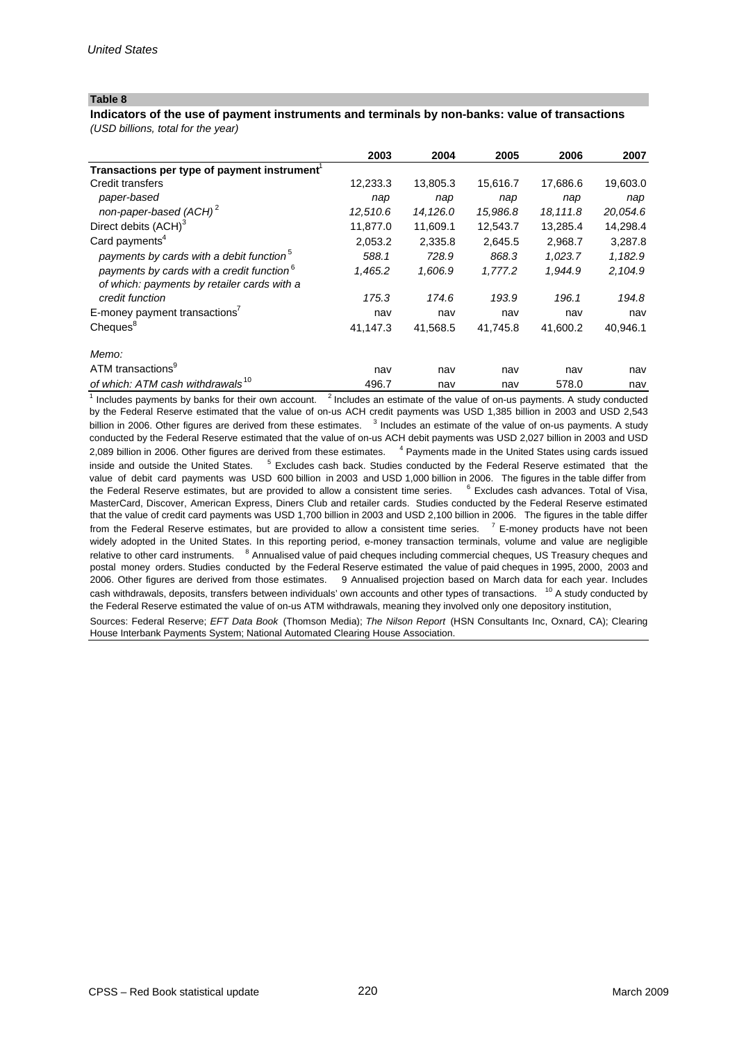# **Indicators of the use of payment instruments and terminals by non-banks: value of transactions**

*(USD billions, total for the year)*

|                                                          | 2003     | 2004     | 2005     | 2006     | 2007     |
|----------------------------------------------------------|----------|----------|----------|----------|----------|
| Transactions per type of payment instrument <sup>1</sup> |          |          |          |          |          |
| Credit transfers                                         | 12,233.3 | 13,805.3 | 15,616.7 | 17,686.6 | 19,603.0 |
| paper-based                                              | nap      | nap      | nap      | nap      | nap      |
| non-paper-based (ACH) <sup>2</sup>                       | 12,510.6 | 14,126.0 | 15,986.8 | 18,111.8 | 20,054.6 |
| Direct debits (ACH) <sup>3</sup>                         | 11,877.0 | 11,609.1 | 12,543.7 | 13,285.4 | 14,298.4 |
| Card payments <sup>4</sup>                               | 2,053.2  | 2,335.8  | 2,645.5  | 2,968.7  | 3,287.8  |
| payments by cards with a debit function <sup>5</sup>     | 588.1    | 728.9    | 868.3    | 1,023.7  | 1,182.9  |
| payments by cards with a credit function <sup>6</sup>    | 1,465.2  | 1,606.9  | 1,777.2  | 1,944.9  | 2,104.9  |
| of which: payments by retailer cards with a              |          |          |          |          |          |
| credit function                                          | 175.3    | 174.6    | 193.9    | 196.1    | 194.8    |
| E-money payment transactions <sup>7</sup>                | nav      | nav      | nav      | nav      | nav      |
| Cheques <sup>8</sup>                                     | 41,147.3 | 41,568.5 | 41,745.8 | 41,600.2 | 40,946.1 |
| Memo:                                                    |          |          |          |          |          |
| ATM transactions <sup>9</sup>                            | nav      | nav      | nav      | nav      | nav      |
| of which: ATM cash withdrawals <sup>10</sup>             | 496.7    | nav      | nav      | 578.0    | nav      |

Sources: Federal Reserve; *EFT Data Book* (Thomson Media); *The Nilson Report* (HSN Consultants Inc, Oxnard, CA); Clearing House Interbank Payments System; National Automated Clearing House Association.  $\frac{1}{1}$  Includes payments by banks for their own account.  $\frac{2}{1}$  Includes an estimate of the value of on-us payments. A study conducted by the Federal Reserve estimated that the value of on-us ACH credit payments was USD 1,385 billion in 2003 and USD 2,543 billion in 2006. Other figures are derived from these estimates. <sup>3</sup> Includes an estimate of the value of on-us payments. A study conducted by the Federal Reserve estimated that the value of on-us ACH debit payments was USD 2,027 billion in 2003 and USD 2,089 billion in 2006. Other figures are derived from these estimates. <sup>4</sup> Payments made in the United States using cards issued inside and outside the United States. <sup>5</sup> Excludes cash back. Studies conducted by the Federal Reserve estimated that the value of debit card payments was USD 600 billion in 2003 and USD 1,000 billion in 2006. The figures in the table differ from 2006. Other figures are derived from those estimates. 9 Annualised projection based on March data for each year. Includes cash withdrawals, deposits, transfers between individuals' own accounts and other types of transactions. <sup>10</sup> A study conducted by the Federal Reserve estimated the value of on-us ATM withdrawals, meaning they involved only one depository institution, the Federal Reserve estimates, but are provided to allow a consistent time series. <sup>6</sup> Excludes cash advances. Total of Visa. MasterCard, Discover, American Express, Diners Club and retailer cards. Studies conducted by the Federal Reserve estimated that the value of credit card payments was USD 1,700 billion in 2003 and USD 2,100 billion in 2006. The figures in the table differ from the Federal Reserve estimates, but are provided to allow a consistent time series. <sup>7</sup> E-money products have not been widely adopted in the United States. In this reporting period, e-money transaction terminals, volume and value are negligible relative to other card instruments. <sup>8</sup> Annualised value of paid cheques including commercial cheques, US Treasury cheques and postal money orders. Studies conducted by the Federal Reserve estimated the value of paid cheques in 1995, 2000, 2003 and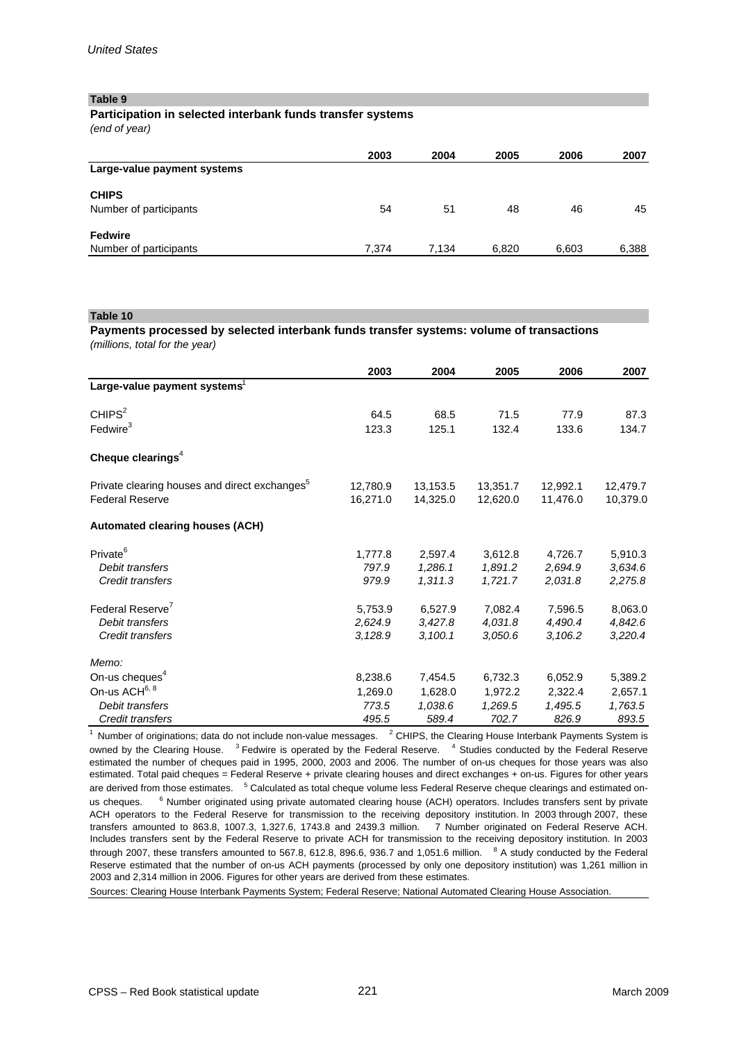# **Participation in selected interbank funds transfer systems**

*(end of year)*

|                             | 2003  | 2004  | 2005  | 2006  | 2007  |
|-----------------------------|-------|-------|-------|-------|-------|
| Large-value payment systems |       |       |       |       |       |
| <b>CHIPS</b>                |       |       |       |       |       |
| Number of participants      | 54    | 51    | 48    | 46    | 45    |
| <b>Fedwire</b>              |       |       |       |       |       |
| Number of participants      | 7.374 | 7.134 | 6,820 | 6,603 | 6,388 |

#### **Table 10**

### *(millions, total for the year)* **Payments processed by selected interbank funds transfer systems: volume of transactions**

|                                                                                     | 2003                 | 2004                 | 2005                 | 2006                 | 2007                 |
|-------------------------------------------------------------------------------------|----------------------|----------------------|----------------------|----------------------|----------------------|
| Large-value payment systems <sup>1</sup>                                            |                      |                      |                      |                      |                      |
| CHIPS <sup>2</sup>                                                                  | 64.5                 | 68.5                 | 71.5                 | 77.9                 | 87.3                 |
| Fedwire <sup>3</sup>                                                                | 123.3                | 125.1                | 132.4                | 133.6                | 134.7                |
| Cheque clearings $4$                                                                |                      |                      |                      |                      |                      |
| Private clearing houses and direct exchanges <sup>5</sup><br><b>Federal Reserve</b> | 12,780.9<br>16,271.0 | 13,153.5<br>14,325.0 | 13,351.7<br>12,620.0 | 12,992.1<br>11,476.0 | 12,479.7<br>10,379.0 |
| <b>Automated clearing houses (ACH)</b>                                              |                      |                      |                      |                      |                      |
| Private <sup>6</sup>                                                                | 1,777.8              | 2,597.4              | 3,612.8              | 4,726.7              | 5,910.3              |
| Debit transfers                                                                     | 797.9                | 1,286.1              | 1,891.2              | 2,694.9              | 3,634.6              |
| Credit transfers                                                                    | 979.9                | 1,311.3              | 1,721.7              | 2,031.8              | 2,275.8              |
| Federal Reserve <sup>7</sup>                                                        | 5,753.9              | 6,527.9              | 7,082.4              | 7,596.5              | 8,063.0              |
| Debit transfers                                                                     | 2,624.9              | 3,427.8              | 4,031.8              | 4,490.4              | 4,842.6              |
| Credit transfers                                                                    | 3,128.9              | 3,100.1              | 3,050.6              | 3,106.2              | 3,220.4              |
| Memo:                                                                               |                      |                      |                      |                      |                      |
| On-us cheques <sup>4</sup>                                                          | 8,238.6              | 7,454.5              | 6,732.3              | 6,052.9              | 5,389.2              |
| On-us ACH6, 8                                                                       | 1,269.0              | 1,628.0              | 1,972.2              | 2,322.4              | 2,657.1              |
| Debit transfers                                                                     | 773.5                | 1,038.6              | 1,269.5              | 1,495.5              | 1,763.5              |
| Credit transfers                                                                    | 495.5                | 589.4                | 702.7                | 826.9                | 893.5                |

transfers amounted to 863.8, 1007.3, 1,327.6, 1743.8 and 2439.3 million. 7 Number originated on Federal Reserve ACH. Includes transfers sent by the Federal Reserve to private ACH for transmission to the receiving depository institution. In 2003 through 2007, these transfers amounted to 567.8, 612.8, 896.6, 936.7 and 1,051.6 million.  $8$  A study conducted by the Federal Reserve estimated that the number of on-us ACH payments (processed by only one depository institution) was 1,261 million in 2003 and 2,314 million in 2006. Figures for other years are derived from these estimates.  $1$  Number of originations; data do not include non-value messages.  $2$  CHIPS, the Clearing House Interbank Payments System is owned by the Clearing House. <sup>3</sup> Fedwire is operated by the Federal Reserve. <sup>4</sup> Studies conducted by the Federal Reserve estimated the number of cheques paid in 1995, 2000, 2003 and 2006. The number of on-us cheques for those years was also estimated. Total paid cheques = Federal Reserve + private clearing houses and direct exchanges + on-us. Figures for other years are derived from those estimates. <sup>5</sup> Calculated as total cheque volume less Federal Reserve cheque clearings and estimated onus cheques. <sup>6</sup> Number originated using private automated clearing house (ACH) operators. Includes transfers sent by private ACH operators to the Federal Reserve for transmission to the receiving depository institution. In 2003 through 2007, these

Sources: Clearing House Interbank Payments System; Federal Reserve; National Automated Clearing House Association.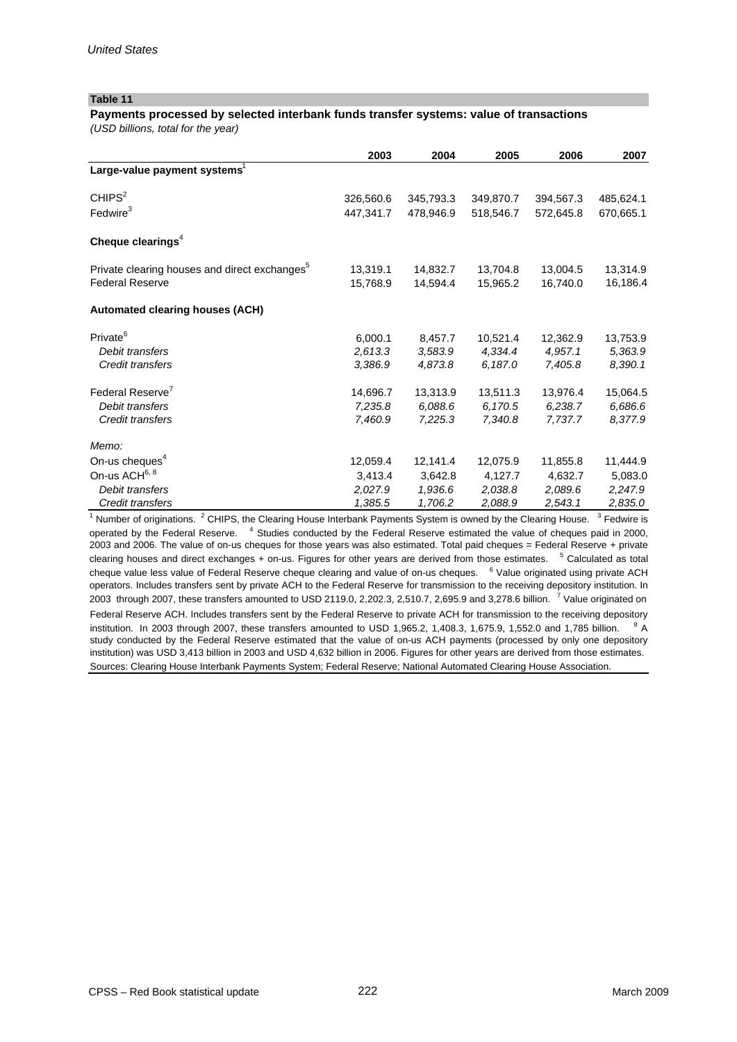# **Payments processed by selected interbank funds transfer systems: value of transactions**

*(USD billions, total for the year)*

|                                                           | 2003      | 2004      | 2005      | 2006      | 2007      |
|-----------------------------------------------------------|-----------|-----------|-----------|-----------|-----------|
| Large-value payment systems <sup>1</sup>                  |           |           |           |           |           |
| CHIPS <sup>2</sup>                                        | 326,560.6 | 345,793.3 | 349,870.7 | 394,567.3 | 485,624.1 |
| Fedwire <sup>3</sup>                                      | 447,341.7 | 478,946.9 | 518.546.7 | 572.645.8 | 670,665.1 |
| Cheque clearings <sup>4</sup>                             |           |           |           |           |           |
| Private clearing houses and direct exchanges <sup>5</sup> | 13,319.1  | 14,832.7  | 13,704.8  | 13,004.5  | 13,314.9  |
| <b>Federal Reserve</b>                                    | 15,768.9  | 14,594.4  | 15,965.2  | 16,740.0  | 16,186.4  |
| <b>Automated clearing houses (ACH)</b>                    |           |           |           |           |           |
| Private <sup>6</sup>                                      | 6,000.1   | 8,457.7   | 10,521.4  | 12,362.9  | 13,753.9  |
| Debit transfers                                           | 2,613.3   | 3,583.9   | 4,334.4   | 4.957.1   | 5,363.9   |
| Credit transfers                                          | 3,386.9   | 4,873.8   | 6,187.0   | 7,405.8   | 8,390.1   |
| Federal Reserve <sup>7</sup>                              | 14.696.7  | 13.313.9  | 13.511.3  | 13.976.4  | 15,064.5  |
| Debit transfers                                           | 7,235.8   | 6,088.6   | 6,170.5   | 6,238.7   | 6,686.6   |
| Credit transfers                                          | 7,460.9   | 7,225.3   | 7,340.8   | 7,737.7   | 8.377.9   |
| Memo:                                                     |           |           |           |           |           |
| On-us cheques <sup>4</sup>                                | 12,059.4  | 12,141.4  | 12.075.9  | 11,855.8  | 11,444.9  |
| On-us ACH <sup>6, 8</sup>                                 | 3,413.4   | 3.642.8   | 4,127.7   | 4,632.7   | 5,083.0   |
| Debit transfers                                           | 2,027.9   | 1,936.6   | 2,038.8   | 2,089.6   | 2,247.9   |
| Credit transfers                                          | 1,385.5   | 1,706.2   | 2,088.9   | 2,543.1   | 2,835.0   |

 $1$  Number of originations.  $2$  CHIPS, the Clearing House Interbank Payments System is owned by the Clearing House.  $3$  Fedwire is operated by the Federal Reserve. <sup>4</sup> Studies conducted by the Federal Reserve estimated the value of cheques paid in 2000, 2003 and 2006. The value of on-us cheques for those years was also estimated. Total paid cheques = Federal Reserve + private clearing houses and direct exchanges  $+$  on-us. Figures for other years are derived from those estimates.  $5$  Calculated as total cheque value less value of Federal Reserve cheque clearing and value of on-us cheques. <sup>6</sup> Value originated using private ACH operators. Includes transfers sent by private ACH to the Federal Reserve for transmission to the receiving depository institution. In 2003 through 2007, these transfers amounted to USD 2119.0, 2,202.3, 2,510.7, 2,695.9 and 3,278.6 billion.  $7$  Value originated on

Federal Reserve ACH. Includes transfers sent by the Federal Reserve to private ACH for transmission to the receiving depository institution. In 2003 through 2007, these transfers amounted to USD 1,965.2, 1,408.3, 1,675.9, 1,552.0 and 1,785 billion.  $8$  A study conducted by the Federal Reserve estimated that the value of on-us ACH payments (processed by only one depository institution) was USD 3,413 billion in 2003 and USD 4,632 billion in 2006. Figures for other years are derived from those estimates. Sources: Clearing House Interbank Payments System; Federal Reserve; National Automated Clearing House Association.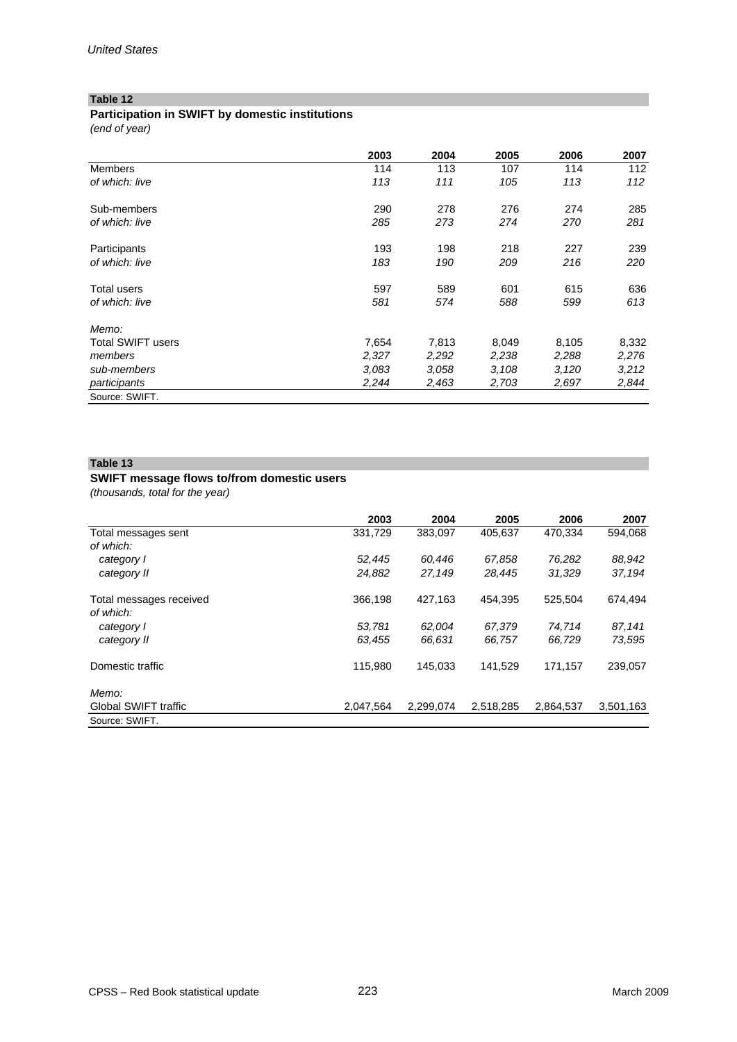# **Participation in SWIFT by domestic institutions**

*(end of year)*

|                   | 2003  | 2004  | 2005  | 2006  | 2007  |
|-------------------|-------|-------|-------|-------|-------|
| <b>Members</b>    | 114   | 113   | 107   | 114   | 112   |
| of which: live    | 113   | 111   | 105   | 113   | 112   |
| Sub-members       | 290   | 278   | 276   | 274   | 285   |
| of which: live    | 285   | 273   | 274   | 270   | 281   |
| Participants      | 193   | 198   | 218   | 227   | 239   |
| of which: live    | 183   | 190   | 209   | 216   | 220   |
| Total users       | 597   | 589   | 601   | 615   | 636   |
| of which: live    | 581   | 574   | 588   | 599   | 613   |
| Memo:             |       |       |       |       |       |
| Total SWIFT users | 7,654 | 7,813 | 8,049 | 8,105 | 8,332 |
| members           | 2,327 | 2,292 | 2,238 | 2,288 | 2,276 |
| sub-members       | 3.083 | 3.058 | 3,108 | 3,120 | 3,212 |
| participants      | 2,244 | 2,463 | 2,703 | 2,697 | 2,844 |
| Source: SWIFT.    |       |       |       |       |       |

# **Table 13**

# **SWIFT message flows to/from domestic users**

*(thousands, total for the year)*

|                                      | 2003      | 2004      | 2005      | 2006      | 2007      |
|--------------------------------------|-----------|-----------|-----------|-----------|-----------|
| Total messages sent                  | 331,729   | 383,097   | 405.637   | 470.334   | 594,068   |
| of which:                            |           |           |           |           |           |
| category I                           | 52.445    | 60.446    | 67.858    | 76.282    | 88,942    |
| category II                          | 24,882    | 27,149    | 28,445    | 31.329    | 37,194    |
| Total messages received<br>of which: | 366,198   | 427,163   | 454.395   | 525.504   | 674,494   |
| category I                           | 53,781    | 62,004    | 67,379    | 74,714    | 87,141    |
| category II                          | 63.455    | 66.631    | 66.757    | 66.729    | 73.595    |
| Domestic traffic                     | 115,980   | 145,033   | 141,529   | 171,157   | 239,057   |
| Memo:                                |           |           |           |           |           |
| <b>Global SWIFT traffic</b>          | 2,047,564 | 2,299,074 | 2,518,285 | 2,864,537 | 3,501,163 |
| Source: SWIFT.                       |           |           |           |           |           |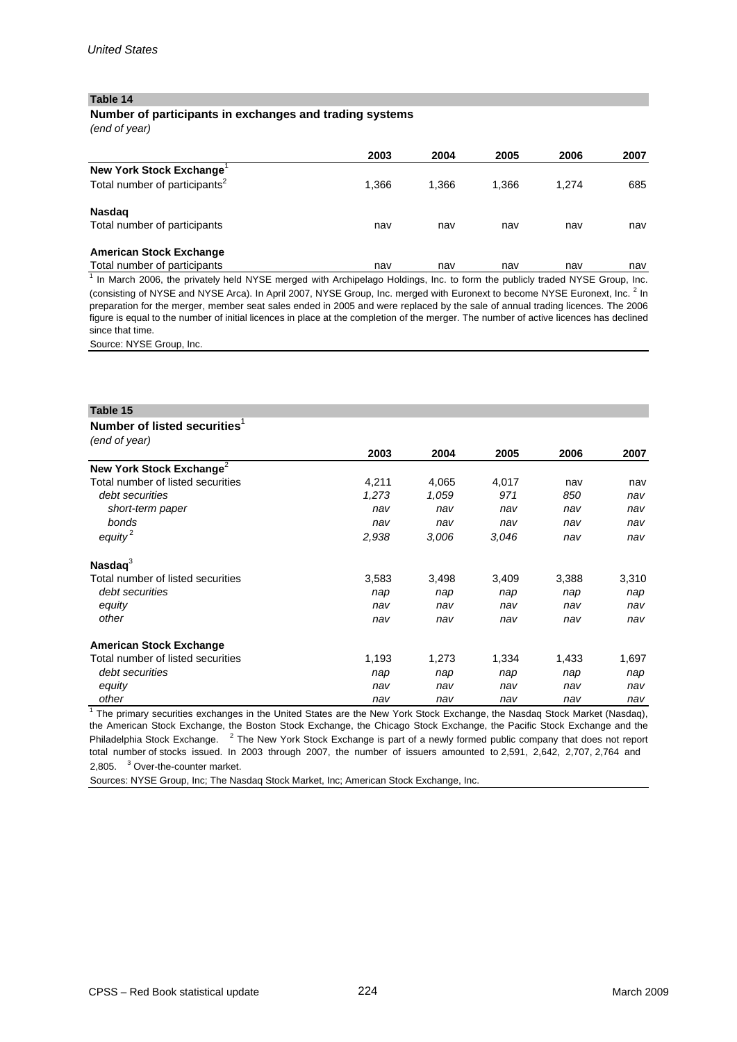# **Number of participants in exchanges and trading systems**

*(end of year)*

|                                           | 2003  | 2004  | 2005  | 2006  | 2007 |
|-------------------------------------------|-------|-------|-------|-------|------|
| New York Stock Exchange <sup>1</sup>      |       |       |       |       |      |
| Total number of participants <sup>2</sup> | 1,366 | 1.366 | 1.366 | 1.274 | 685  |
| <b>Nasdag</b>                             |       |       |       |       |      |
| Total number of participants              | nav   | nav   | nav   | nav   | nav  |
| <b>American Stock Exchange</b>            |       |       |       |       |      |
| Total number of participants              | nav   | nav   | nav   | nav   | nav  |

 $<sup>1</sup>$  In March 2006, the privately held NYSE merged with Archipelago Holdings, Inc. to form the publicly traded NYSE Group, Inc.</sup> (consisting of NYSE and NYSE Arca). In April 2007, NYSE Group, Inc. merged with Euronext to become NYSE Euronext, Inc. <sup>2</sup> In preparation for the merger, member seat sales ended in 2005 and were replaced by the sale of annual trading licences. The 2006 figure is equal to the number of initial licences in place at the completion of the merger. The number of active licences has declined since that time.

Source: NYSE Group, Inc.

#### **Table 15**

#### **Number of listed securities**<sup>1</sup>

*(end of year)*

| tena or year)                        |       |       |       |       |       |
|--------------------------------------|-------|-------|-------|-------|-------|
|                                      | 2003  | 2004  | 2005  | 2006  | 2007  |
| New York Stock Exchange <sup>2</sup> |       |       |       |       |       |
| Total number of listed securities    | 4,211 | 4,065 | 4,017 | nav   | nav   |
| debt securities                      | 1,273 | 1,059 | 971   | 850   | nav   |
| short-term paper                     | nav   | nav   | nav   | nav   | nav   |
| bonds                                | nav   | nav   | nav   | nav   | nav   |
| $\theta$ equity <sup>2</sup>         | 2,938 | 3,006 | 3.046 | nav   | nav   |
| Nasda $q^3$                          |       |       |       |       |       |
| Total number of listed securities    | 3,583 | 3,498 | 3,409 | 3,388 | 3,310 |
| debt securities                      | nap   | nap   | nap   | nap   | nap   |
| equity                               | nav   | nav   | nav   | nav   | nav   |
| other                                | nav   | nav   | nav   | nav   | nav   |
| <b>American Stock Exchange</b>       |       |       |       |       |       |
| Total number of listed securities    | 1,193 | 1,273 | 1,334 | 1,433 | 1,697 |
| debt securities                      | nap   | nap   | nap   | nap   | nap   |
| equity                               | nav   | nav   | nav   | nav   | nav   |
| other                                | nav   | nav   | nav   | nav   | nav   |

<sup>1</sup> The primary securities exchanges in the United States are the New York Stock Exchange, the Nasdaq Stock Market (Nasdaq), the American Stock Exchange, the Boston Stock Exchange, the Chicago Stock Exchange, the Pacific Stock Exchange and the Philadelphia Stock Exchange. <sup>2</sup> The New York Stock Exchange is part of a newly formed public company that does not report total number of stocks issued. In 2003 through 2007, the number of issuers amounted to 2,591, 2,642, 2,707, 2,764 and 2,805. <sup>3</sup> Over-the-counter market.

Sources: NYSE Group, Inc; The Nasdaq Stock Market, Inc; American Stock Exchange, Inc.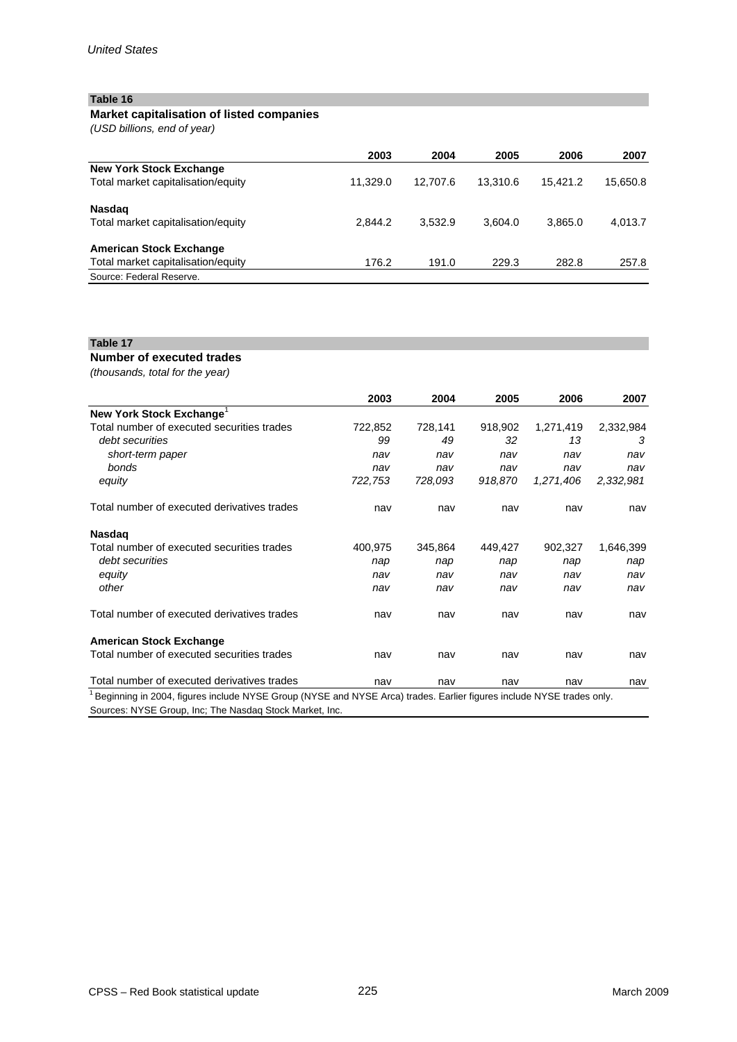# **Market capitalisation of listed companies**

*(USD billions, end of year)*

|                                    | 2003     | 2004     | 2005     | 2006     | 2007     |
|------------------------------------|----------|----------|----------|----------|----------|
| <b>New York Stock Exchange</b>     |          |          |          |          |          |
| Total market capitalisation/equity | 11.329.0 | 12.707.6 | 13.310.6 | 15.421.2 | 15,650.8 |
| <b>Nasdag</b>                      |          |          |          |          |          |
| Total market capitalisation/equity | 2.844.2  | 3.532.9  | 3.604.0  | 3.865.0  | 4,013.7  |
|                                    |          |          |          |          |          |
| <b>American Stock Exchange</b>     |          |          |          |          |          |
| Total market capitalisation/equity | 176.2    | 191.0    | 229.3    | 282.8    | 257.8    |
| Source: Federal Reserve.           |          |          |          |          |          |

# **Table 17**

**Number of executed trades**

*(thousands, total for the year)* 

|                                                                                                                      | 2003    | 2004    | 2005    | 2006      | 2007      |
|----------------------------------------------------------------------------------------------------------------------|---------|---------|---------|-----------|-----------|
| New York Stock Exchange <sup>1</sup>                                                                                 |         |         |         |           |           |
| Total number of executed securities trades                                                                           | 722,852 | 728,141 | 918,902 | 1,271,419 | 2,332,984 |
| debt securities                                                                                                      | 99      | 49      | 32      | 13        | 3         |
| short-term paper                                                                                                     | nav     | nav     | nav     | nav       | nav       |
| bonds                                                                                                                | nav     | nav     | nav     | nav       | nav       |
| equity                                                                                                               | 722,753 | 728,093 | 918,870 | 1,271,406 | 2,332,981 |
| Total number of executed derivatives trades                                                                          | nav     | nav     | nav     | nav       | nav       |
| <b>Nasdag</b>                                                                                                        |         |         |         |           |           |
| Total number of executed securities trades                                                                           | 400,975 | 345,864 | 449,427 | 902,327   | 1,646,399 |
| debt securities                                                                                                      | nap     | nap     | nap     | nap       | nap       |
| equity                                                                                                               | nav     | nav     | nav     | nav       | nav       |
| other                                                                                                                | nav     | nav     | nav     | nav       | nav       |
| Total number of executed derivatives trades                                                                          | nav     | nav     | nav     | nav       | nav       |
| <b>American Stock Exchange</b>                                                                                       |         |         |         |           |           |
| Total number of executed securities trades                                                                           | nav     | nav     | nav     | nav       | nav       |
| Total number of executed derivatives trades                                                                          | nav     | nav     | nav     | nav       | nav       |
| Beginning in 2004, figures include NYSE Group (NYSE and NYSE Arca) trades. Earlier figures include NYSE trades only. |         |         |         |           |           |
| Sources: NYSE Group, Inc; The Nasdag Stock Market, Inc.                                                              |         |         |         |           |           |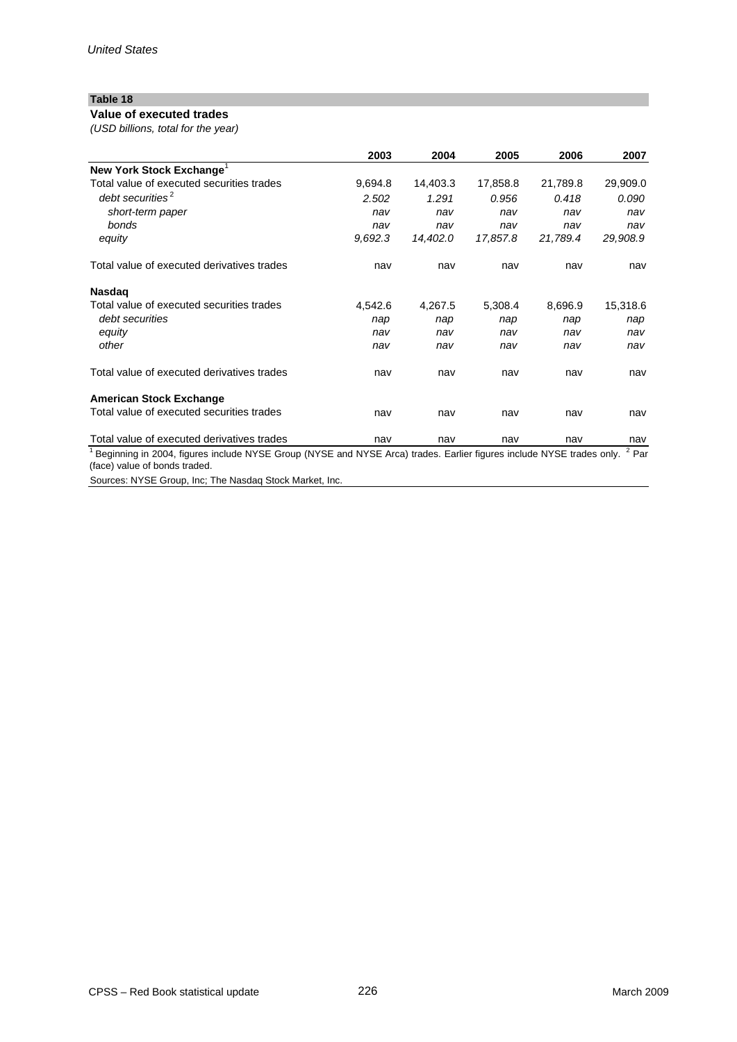# **Value of executed trades**

*(USD billions, total for the year)*

|                                                                                                                                                       | 2003    | 2004     | 2005     | 2006     | 2007     |
|-------------------------------------------------------------------------------------------------------------------------------------------------------|---------|----------|----------|----------|----------|
| New York Stock Exchange <sup>1</sup>                                                                                                                  |         |          |          |          |          |
| Total value of executed securities trades                                                                                                             | 9,694.8 | 14,403.3 | 17,858.8 | 21,789.8 | 29,909.0 |
| debt securities <sup>2</sup>                                                                                                                          | 2.502   | 1.291    | 0.956    | 0.418    | 0.090    |
| short-term paper                                                                                                                                      | nav     | nav      | nav      | nav      | nav      |
| bonds                                                                                                                                                 | nav     | nav      | nav      | nav      | nav      |
| equity                                                                                                                                                | 9.692.3 | 14,402.0 | 17,857.8 | 21,789.4 | 29,908.9 |
| Total value of executed derivatives trades                                                                                                            | nav     | nav      | nav      | nav      | nav      |
| <b>Nasdag</b>                                                                                                                                         |         |          |          |          |          |
| Total value of executed securities trades                                                                                                             | 4,542.6 | 4,267.5  | 5,308.4  | 8,696.9  | 15,318.6 |
| debt securities                                                                                                                                       | nap     | nap      | nap      | nap      | nap      |
| equity                                                                                                                                                | nav     | nav      | nav      | nav      | nav      |
| other                                                                                                                                                 | nav     | nav      | nav      | nav      | nav      |
| Total value of executed derivatives trades                                                                                                            | nav     | nav      | nav      | nav      | nav      |
| <b>American Stock Exchange</b>                                                                                                                        |         |          |          |          |          |
| Total value of executed securities trades                                                                                                             | nav     | nav      | nav      | nav      | nav      |
| Total value of executed derivatives trades                                                                                                            | nav     | nav      | nav      | nav      | nav      |
| Beginning in 2004, figures include NYSE Group (NYSE and NYSE Arca) trades. Earlier figures include NYSE trades only.<br>(face) value of bonds traded. |         |          |          |          | $2$ Par  |

Sources: NYSE Group, Inc; The Nasdaq Stock Market, Inc.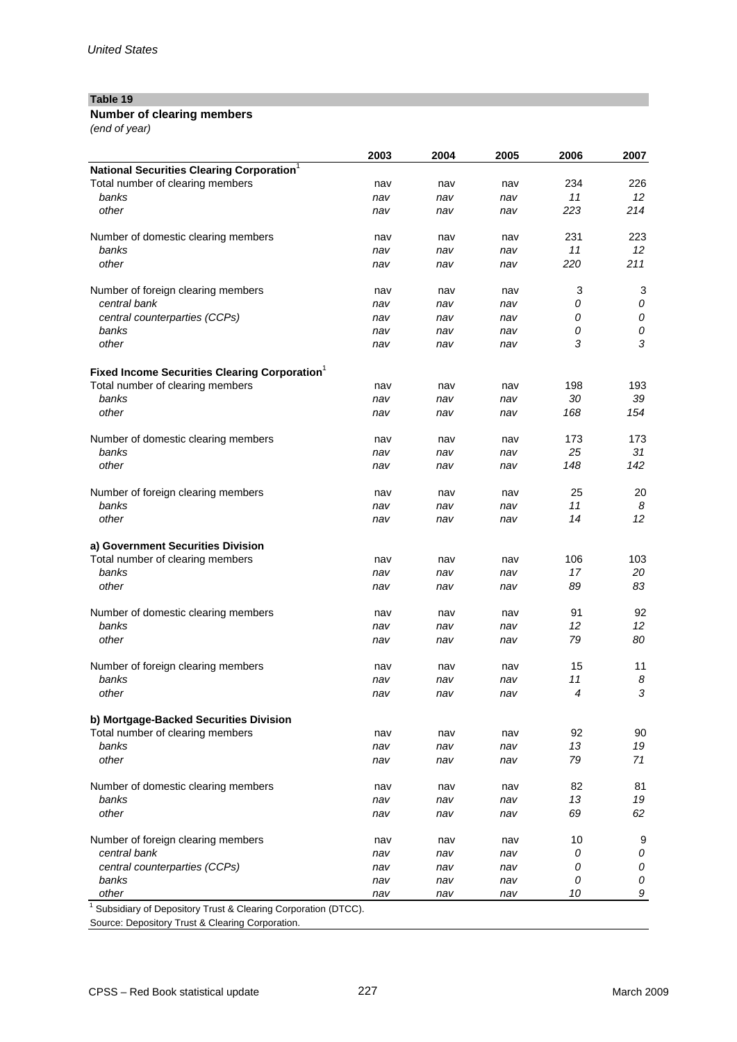# **Number of clearing members**

*(end of year)*

|                                                           | 2003 | 2004 | 2005 | 2006 | 2007       |
|-----------------------------------------------------------|------|------|------|------|------------|
| National Securities Clearing Corporation <sup>1</sup>     |      |      |      |      |            |
| Total number of clearing members                          | nav  | nav  | nav  | 234  | 226        |
| banks                                                     | nav  | nav  | nav  | 11   | 12         |
| other                                                     | nav  | nav  | nav  | 223  | 214        |
| Number of domestic clearing members                       | nav  | nav  | nav  | 231  | 223        |
| banks                                                     | nav  | nav  | nav  | 11   | 12         |
| other                                                     | nav  | nav  | nav  | 220  | 211        |
| Number of foreign clearing members                        | nav  | nav  | nav  | 3    | 3          |
| central bank                                              | nav  | nav  | nav  | 0    | ${\cal O}$ |
| central counterparties (CCPs)                             | nav  | nav  | nav  | 0    | ${\cal O}$ |
| banks                                                     | nav  | nav  | nav  | 0    | ${\cal O}$ |
| other                                                     | nav  | nav  | nav  | 3    | 3          |
| Fixed Income Securities Clearing Corporation <sup>1</sup> |      |      |      |      |            |
| Total number of clearing members                          | nav  | nav  | nav  | 198  | 193        |
| banks                                                     | nav  | nav  | nav  | 30   | 39         |
| other                                                     | nav  | nav  | nav  | 168  | 154        |
| Number of domestic clearing members                       | nav  | nav  | nav  | 173  | 173        |
| banks                                                     | nav  | nav  | nav  | 25   | 31         |
| other                                                     | nav  | nav  | nav  | 148  | 142        |
| Number of foreign clearing members                        | nav  | nav  | nav  | 25   | 20         |
| banks                                                     | nav  | nav  | nav  | 11   | 8          |
| other                                                     | nav  | nav  | nav  | 14   | 12         |
| a) Government Securities Division                         |      |      |      |      |            |
| Total number of clearing members                          | nav  | nav  | nav  | 106  | 103        |
| banks                                                     | nav  | nav  | nav  | 17   | 20         |
| other                                                     | nav  | nav  | nav  | 89   | 83         |
| Number of domestic clearing members                       | nav  | nav  | nav  | 91   | 92         |
| banks                                                     | nav  | nav  | nav  | 12   | 12         |
| other                                                     | nav  | nav  | nav  | 79   | 80         |
| Number of foreign clearing members                        | nav  | nav  | nav  | 15   | 11         |
| banks                                                     | nav  | nav  | nav  | 11   | 8          |
| other                                                     | nav  | nav  | nav  | 4    | 3          |
| b) Mortgage-Backed Securities Division                    |      |      |      |      |            |
| Total number of clearing members                          | nav  | nav  | nav  | 92   | 90         |
| banks                                                     | nav  | nav  | nav  | 13   | 19         |
| other                                                     | nav  | nav  | nav  | 79   | 71         |
| Number of domestic clearing members                       | nav  | nav  | nav  | 82   | 81         |
| banks                                                     | nav  | nav  | nav  | 13   | 19         |
| other                                                     | nav  | nav  | nav  | 69   | 62         |
| Number of foreign clearing members                        | nav  | nav  | nav  | 10   | 9          |
| central bank                                              | nav  | nav  | nav  | 0    | 0          |
| central counterparties (CCPs)                             | nav  | nav  | nav  | 0    | 0          |
| banks                                                     | nav  | nav  | nav  | 0    | 0          |
| other                                                     | nav  | nav  | nav  | 10   | 9          |

Source: Depository Trust & Clearing Corporation.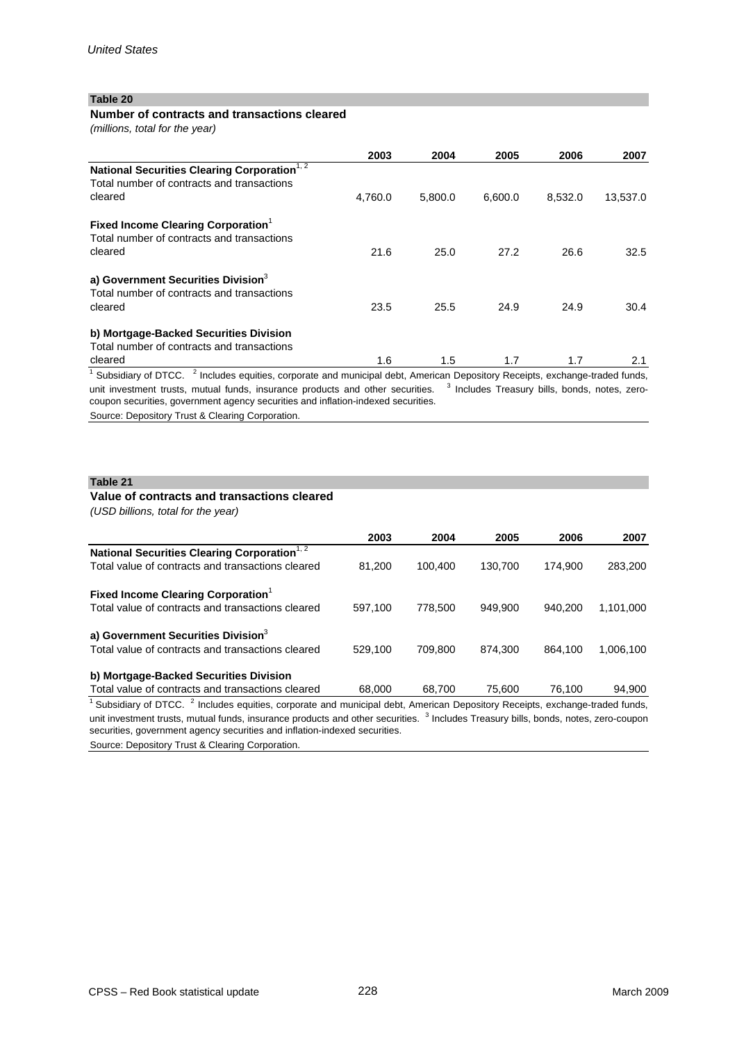### **Number of contracts and transactions cleared**

*(millions, total for the year)* 

|                                                                                                                                       | 2003    | 2004    | 2005    | 2006    | 2007     |
|---------------------------------------------------------------------------------------------------------------------------------------|---------|---------|---------|---------|----------|
| National Securities Clearing Corporation <sup>1, 2</sup><br>Total number of contracts and transactions                                |         |         |         |         |          |
| cleared                                                                                                                               | 4,760.0 | 5,800.0 | 6,600.0 | 8,532.0 | 13,537.0 |
| <b>Fixed Income Clearing Corporation</b><br>Total number of contracts and transactions                                                |         |         |         |         |          |
| cleared                                                                                                                               | 21.6    | 25.0    | 27.2    | 26.6    | 32.5     |
| a) Government Securities Division <sup>3</sup><br>Total number of contracts and transactions                                          |         |         |         |         |          |
| cleared                                                                                                                               | 23.5    | 25.5    | 24.9    | 24.9    | 30.4     |
| b) Mortgage-Backed Securities Division                                                                                                |         |         |         |         |          |
| Total number of contracts and transactions                                                                                            |         |         |         |         |          |
| cleared<br>10 L. P. G. (1700 $\overline{2}$ L. L. L. G. B. G. L. L. L. L. L. L. L. L. L. L. D. L. L. D. L. L. L. L. L. L. L. L. L. L. | 1.6     | 1.5     | 1.7     | 1.7     | 2.1      |

Subsidiary of DTCC. <sup>2</sup> Includes equities, corporate and municipal debt, American Depository Receipts, exchange-traded funds, unit investment trusts, mutual funds, insurance products and other securities. <sup>3</sup> Includes Treasury bills, bonds, notes, zerocoupon securities, government agency securities and inflation-indexed securities.

Source: Depository Trust & Clearing Corporation.

### **Table 21**

# **Value of contracts and transactions cleared**

*(USD billions, total for the year)*

|                                                          | 2003    | 2004    | 2005    | 2006    | 2007      |
|----------------------------------------------------------|---------|---------|---------|---------|-----------|
| National Securities Clearing Corporation <sup>1, 2</sup> |         |         |         |         |           |
| Total value of contracts and transactions cleared        | 81.200  | 100,400 | 130.700 | 174.900 | 283,200   |
| Fixed Income Clearing Corporation <sup>1</sup>           |         |         |         |         |           |
| Total value of contracts and transactions cleared        | 597.100 | 778,500 | 949.900 | 940.200 | 1,101,000 |
| a) Government Securities Division <sup>3</sup>           |         |         |         |         |           |
| Total value of contracts and transactions cleared        | 529.100 | 709.800 | 874.300 | 864.100 | 1.006.100 |
| b) Mortgage-Backed Securities Division                   |         |         |         |         |           |
| Total value of contracts and transactions cleared        | 68,000  | 68.700  | 75,600  | 76,100  | 94.900    |

<sup>1</sup> Subsidiary of DTCC. <sup>2</sup> Includes equities, corporate and municipal debt, American Depository Receipts, exchange-traded funds, unit investment trusts, mutual funds, insurance products and other securities. <sup>3</sup> Includes Treasury bills, bonds, notes, zero-coupon securities, government agency securities and inflation-indexed securities.

Source: Depository Trust & Clearing Corporation.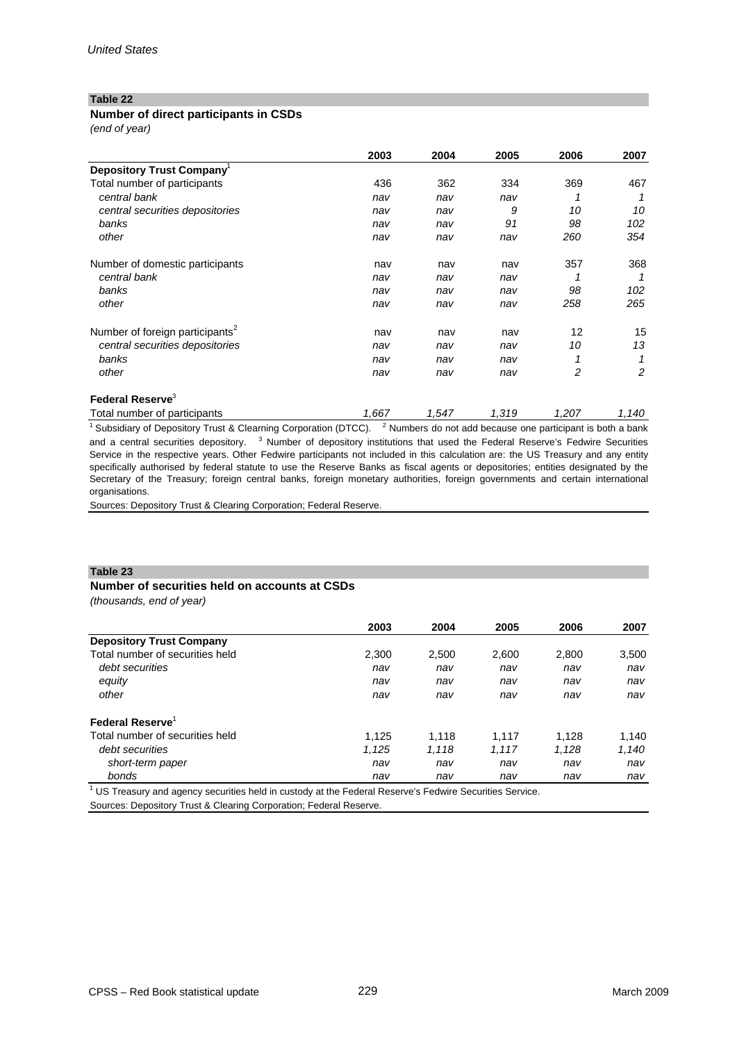### **Number of direct participants in CSDs**

*(end of year)*

|                                             | 2003  | 2004  | 2005  | 2006  | 2007  |
|---------------------------------------------|-------|-------|-------|-------|-------|
| Depository Trust Company <sup>1</sup>       |       |       |       |       |       |
| Total number of participants                | 436   | 362   | 334   | 369   | 467   |
| central bank                                | nav   | nav   | nav   |       |       |
| central securities depositories             | nav   | nav   | 9     | 10    | 10    |
| banks                                       | nav   | nav   | 91    | 98    | 102   |
| other                                       | nav   | nav   | nav   | 260   | 354   |
| Number of domestic participants             | nav   | nav   | nav   | 357   | 368   |
| central bank                                | nav   | nav   | nav   |       |       |
| banks                                       | nav   | nav   | nav   | 98    | 102   |
| other                                       | nav   | nav   | nav   | 258   | 265   |
| Number of foreign participants <sup>2</sup> | nav   | nav   | nav   | 12    | 15    |
| central securities depositories             | nav   | nav   | nav   | 10    | 13    |
| banks                                       | nav   | nav   | nav   |       |       |
| other                                       | nav   | nav   | nav   | 2     | 2     |
| Federal Reserve <sup>3</sup>                |       |       |       |       |       |
| Total number of participants                | 1,667 | 1,547 | 1,319 | 1,207 | 1,140 |

<sup>1</sup> Subsidiary of Depository Trust & Clearning Corporation (DTCC). <sup>2</sup> Numbers do not add because one participant is both a bank and a central securities depository. <sup>3</sup> Number of depository institutions that used the Federal Reserve's Fedwire Securities Service in the respective years. Other Fedwire participants not included in this calculation are: the US Treasury and any entity specifically authorised by federal statute to use the Reserve Banks as fiscal agents or depositories; entities designated by the Secretary of the Treasury; foreign central banks, foreign monetary authorities, foreign governments and certain international organisations.

Sources: Depository Trust & Clearing Corporation; Federal Reserve.

### **Table 23**

# **Number of securities held on accounts at CSDs**

*(thousands, end of year)* 

| 2003  | 2004  | 2005  | 2006  | 2007  |
|-------|-------|-------|-------|-------|
|       |       |       |       |       |
| 2,300 | 2,500 | 2.600 | 2.800 | 3,500 |
| nav   | nav   | nav   | nav   | nav   |
| nav   | nav   | nav   | nav   | nav   |
| nav   | nav   | nav   | nav   | nav   |
|       |       |       |       |       |
| 1.125 | 1.118 | 1.117 | 1.128 | 1,140 |
| 1.125 | 1.118 | 1.117 | 1.128 | 1,140 |
| nav   | nav   | nav   | nav   | nav   |
| nav   | nav   | nav   | nav   | nav   |
|       |       |       |       |       |

 US Treasury and agency securities held in custody at the Federal Reserve's Fedwire Securities Service. Sources: Depository Trust & Clearing Corporation; Federal Reserve.